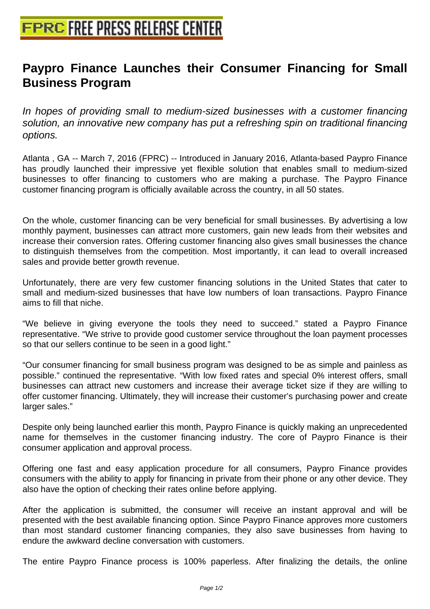## **[Paypro Finance Launches their C](http://www.free-press-release-center.info)onsumer Financing for Small Business Program**

In hopes of providing small to medium-sized businesses with a customer financing solution, an innovative new company has put a refreshing spin on traditional financing options.

Atlanta , GA -- March 7, 2016 (FPRC) -- Introduced in January 2016, Atlanta-based Paypro Finance has proudly launched their impressive yet flexible solution that enables small to medium-sized businesses to offer financing to customers who are making a purchase. The Paypro Finance customer financing program is officially available across the country, in all 50 states.

On the whole, customer financing can be very beneficial for small businesses. By advertising a low monthly payment, businesses can attract more customers, gain new leads from their websites and increase their conversion rates. Offering customer financing also gives small businesses the chance to distinguish themselves from the competition. Most importantly, it can lead to overall increased sales and provide better growth revenue.

Unfortunately, there are very few customer financing solutions in the United States that cater to small and medium-sized businesses that have low numbers of loan transactions. Paypro Finance aims to fill that niche.

"We believe in giving everyone the tools they need to succeed." stated a Paypro Finance representative. "We strive to provide good customer service throughout the loan payment processes so that our sellers continue to be seen in a good light."

"Our consumer financing for small business program was designed to be as simple and painless as possible." continued the representative. "With low fixed rates and special 0% interest offers, small businesses can attract new customers and increase their average ticket size if they are willing to offer customer financing. Ultimately, they will increase their customer's purchasing power and create larger sales."

Despite only being launched earlier this month, Paypro Finance is quickly making an unprecedented name for themselves in the customer financing industry. The core of Paypro Finance is their consumer application and approval process.

Offering one fast and easy application procedure for all consumers, Paypro Finance provides consumers with the ability to apply for financing in private from their phone or any other device. They also have the option of checking their rates online before applying.

After the application is submitted, the consumer will receive an instant approval and will be presented with the best available financing option. Since Paypro Finance approves more customers than most standard customer financing companies, they also save businesses from having to endure the awkward decline conversation with customers.

The entire Paypro Finance process is 100% paperless. After finalizing the details, the online